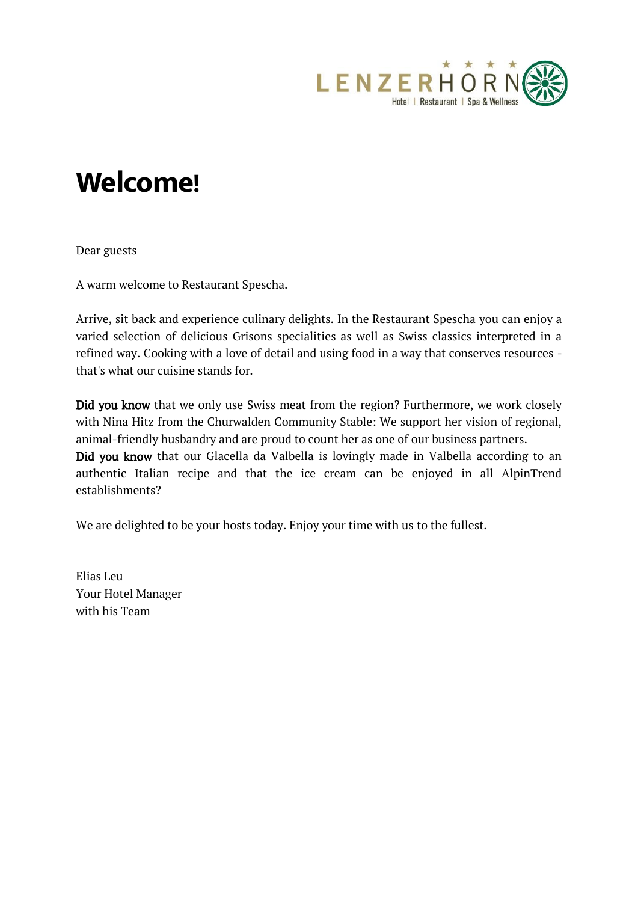

## **Welcome!**

Dear guests

A warm welcome to Restaurant Spescha.

Arrive, sit back and experience culinary delights. In the Restaurant Spescha you can enjoy a varied selection of delicious Grisons specialities as well as Swiss classics interpreted in a refined way. Cooking with a love of detail and using food in a way that conserves resources that's what our cuisine stands for.

Did you know that we only use Swiss meat from the region? Furthermore, we work closely with Nina Hitz from the Churwalden Community Stable: We support her vision of regional, animal-friendly husbandry and are proud to count her as one of our business partners. Did you know that our Glacella da Valbella is lovingly made in Valbella according to an authentic Italian recipe and that the ice cream can be enjoyed in all AlpinTrend establishments?

We are delighted to be your hosts today. Enjoy your time with us to the fullest.

Elias Leu Your Hotel Manager with his Team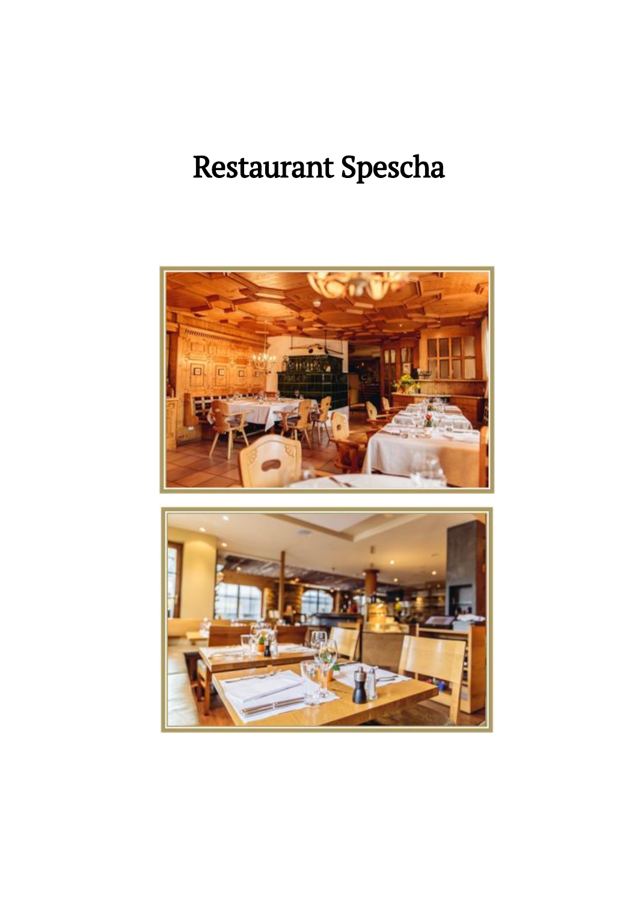# Restaurant Spescha



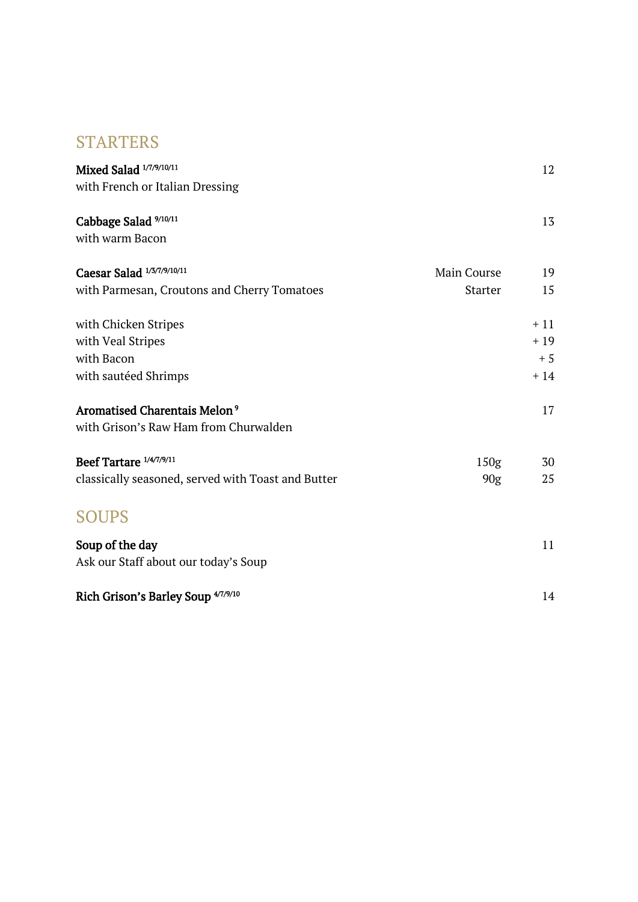### STARTERS

| Mixed Salad 1/7/9/10/11                            |                  | 12    |
|----------------------------------------------------|------------------|-------|
| with French or Italian Dressing                    |                  |       |
| Cabbage Salad 9/10/11                              |                  | 13    |
| with warm Bacon                                    |                  |       |
| Caesar Salad 1/3/7/9/10/11                         | Main Course      | 19    |
| with Parmesan, Croutons and Cherry Tomatoes        | <b>Starter</b>   | 15    |
| with Chicken Stripes                               |                  | $+11$ |
| with Veal Stripes                                  |                  | $+19$ |
| with Bacon                                         |                  | $+5$  |
| with sautéed Shrimps                               |                  | $+14$ |
| Aromatised Charentais Melon <sup>9</sup>           |                  | 17    |
| with Grison's Raw Ham from Churwalden              |                  |       |
| Beef Tartare 1/4/7/9/11                            | 150 <sub>g</sub> | 30    |
| classically seasoned, served with Toast and Butter | 90g              | 25    |
| <b>SOUPS</b>                                       |                  |       |
| Soup of the day                                    |                  | 11    |
| Ask our Staff about our today's Soup               |                  |       |
| Rich Grison's Barley Soup <sup>4/7/9/10</sup>      |                  | 14    |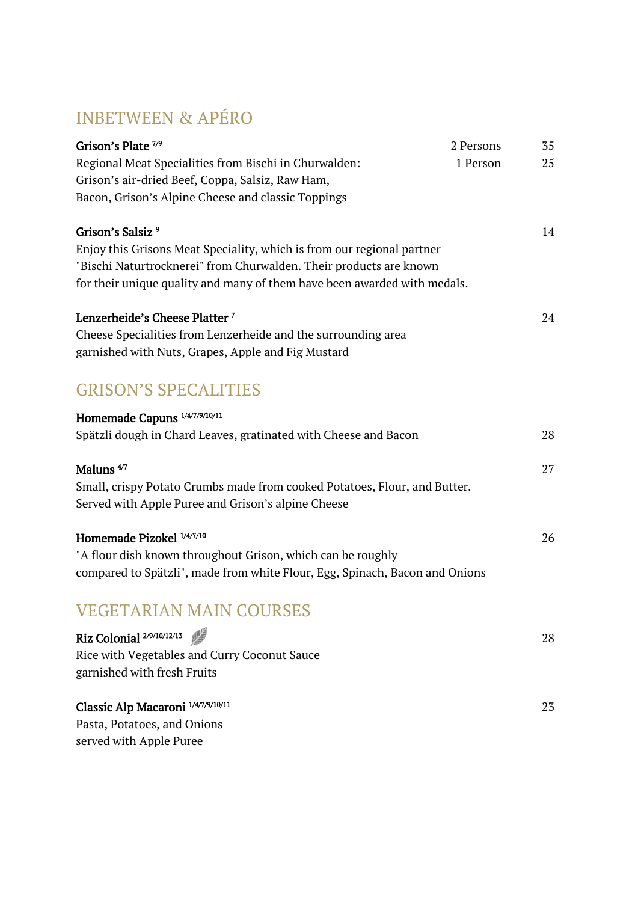## INBETWEEN & APÉRO

| Grison's Plate <sup>7/9</sup><br>Regional Meat Specialities from Bischi in Churwalden:<br>Grison's air-dried Beef, Coppa, Salsiz, Raw Ham,<br>Bacon, Grison's Alpine Cheese and classic Toppings                                                         | 2 Persons<br>1 Person | 35<br>25 |
|----------------------------------------------------------------------------------------------------------------------------------------------------------------------------------------------------------------------------------------------------------|-----------------------|----------|
| Grison's Salsiz <sup>9</sup><br>Enjoy this Grisons Meat Speciality, which is from our regional partner<br>"Bischi Naturtrocknerei" from Churwalden. Their products are known<br>for their unique quality and many of them have been awarded with medals. |                       | 14       |
| Lenzerheide's Cheese Platter <sup>7</sup><br>Cheese Specialities from Lenzerheide and the surrounding area<br>garnished with Nuts, Grapes, Apple and Fig Mustard                                                                                         |                       | 24       |
| <b>GRISON'S SPECALITIES</b>                                                                                                                                                                                                                              |                       |          |
| Homemade Capuns <sup>1/4/7/9/10/11</sup><br>Spätzli dough in Chard Leaves, gratinated with Cheese and Bacon                                                                                                                                              |                       | 28       |
| Maluns $4/7$<br>Small, crispy Potato Crumbs made from cooked Potatoes, Flour, and Butter.<br>Served with Apple Puree and Grison's alpine Cheese                                                                                                          |                       | 27       |
| Homemade Pizokel 1/4/7/10<br>"A flour dish known throughout Grison, which can be roughly<br>compared to Spätzli", made from white Flour, Egg, Spinach, Bacon and Onions                                                                                  |                       | 26       |
| <b>VEGETARIAN MAIN COURSES</b>                                                                                                                                                                                                                           |                       |          |
| Riz Colonial 2/9/10/12/13<br>Rice with Vegetables and Curry Coconut Sauce<br>garnished with fresh Fruits                                                                                                                                                 |                       | 28       |
| Classic Alp Macaroni 1/4/7/9/10/11<br>Pasta, Potatoes, and Onions<br>served with Apple Puree                                                                                                                                                             |                       | 23       |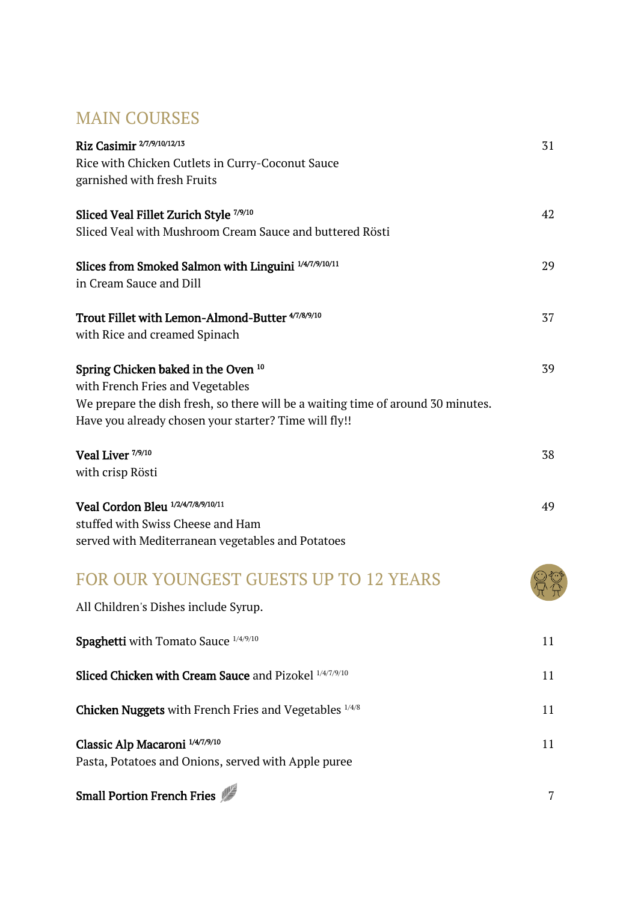## MAIN COURSES

| Riz Casimir 2/7/9/10/12/13<br>Rice with Chicken Cutlets in Curry-Coconut Sauce<br>garnished with fresh Fruits                                                                                                        | 31 |
|----------------------------------------------------------------------------------------------------------------------------------------------------------------------------------------------------------------------|----|
| Sliced Veal Fillet Zurich Style 7/9/10<br>Sliced Veal with Mushroom Cream Sauce and buttered Rösti                                                                                                                   | 42 |
| Slices from Smoked Salmon with Linguini 1/4/7/9/10/11<br>in Cream Sauce and Dill                                                                                                                                     | 29 |
| Trout Fillet with Lemon-Almond-Butter 47/8/9/10<br>with Rice and creamed Spinach                                                                                                                                     | 37 |
| Spring Chicken baked in the Oven 10<br>with French Fries and Vegetables<br>We prepare the dish fresh, so there will be a waiting time of around 30 minutes.<br>Have you already chosen your starter? Time will fly!! | 39 |
| Veal Liver <sup>7/9/10</sup><br>with crisp Rösti                                                                                                                                                                     | 38 |
| Veal Cordon Bleu 1/2/4/7/8/9/10/11<br>stuffed with Swiss Cheese and Ham<br>served with Mediterranean vegetables and Potatoes                                                                                         | 49 |
| FOR OUR YOUNGEST GUESTS UP TO 12 YEARS<br>All Children's Dishes include Syrup.                                                                                                                                       |    |
| Spaghetti with Tomato Sauce 1/4/9/10                                                                                                                                                                                 | 11 |
| Sliced Chicken with Cream Sauce and Pizokel 1/4/7/9/10                                                                                                                                                               | 11 |
| <b>Chicken Nuggets</b> with French Fries and Vegetables <sup>1/4/8</sup>                                                                                                                                             | 11 |
| Classic Alp Macaroni 1/4/7/9/10<br>Pasta, Potatoes and Onions, served with Apple puree                                                                                                                               | 11 |

## Small Portion French Fries **7**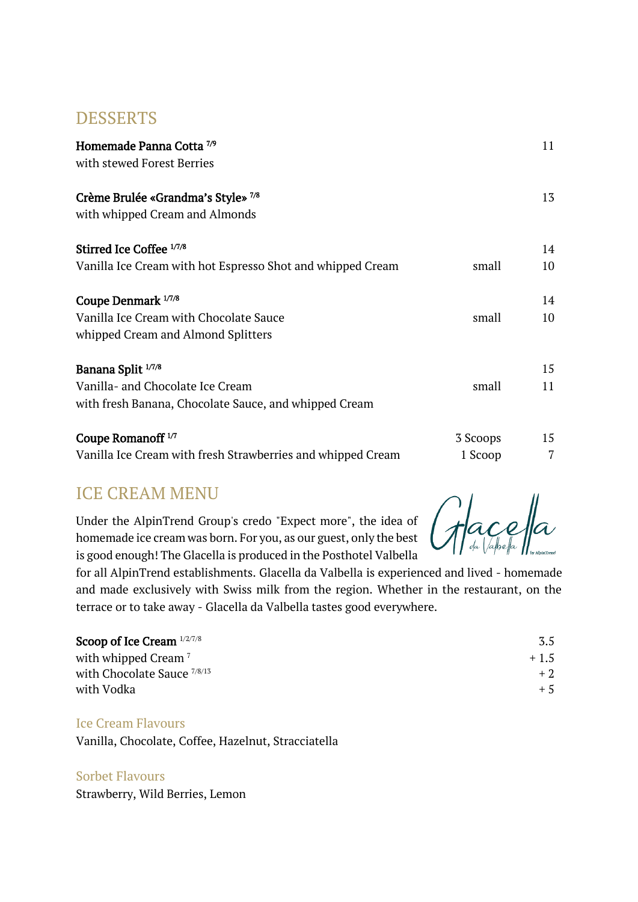#### DESSERTS

| Homemade Panna Cotta <sup>7/9</sup><br>with stewed Forest Berries    |          |    |
|----------------------------------------------------------------------|----------|----|
| Crème Brulée «Grandma's Style» 7/8<br>with whipped Cream and Almonds |          | 13 |
| Stirred Ice Coffee 1/7/8                                             |          | 14 |
| Vanilla Ice Cream with hot Espresso Shot and whipped Cream           | small    | 10 |
| Coupe Denmark 1/7/8                                                  |          | 14 |
| Vanilla Ice Cream with Chocolate Sauce                               | small    | 10 |
| whipped Cream and Almond Splitters                                   |          |    |
| Banana Split 1/7/8                                                   |          | 15 |
| Vanilla- and Chocolate Ice Cream                                     | small    | 11 |
| with fresh Banana, Chocolate Sauce, and whipped Cream                |          |    |
| Coupe Romanoff <sup>1/7</sup>                                        | 3 Scoops | 15 |
| Vanilla Ice Cream with fresh Strawberries and whipped Cream          | 1 Scoop  | 7  |

### ICE CREAM MENU

Under the AlpinTrend Group's credo "Expect more", the idea of homemade ice cream was born. For you, as our guest, only the best is good enough! The Glacella is produced in the Posthotel Valbella

for all AlpinTrend establishments. Glacella da Valbella is experienced and lived - homemade and made exclusively with Swiss milk from the region. Whether in the restaurant, on the terrace or to take away - Glacella da Valbella tastes good everywhere.

| Scoop of Ice Cream $1/2/7/8$    | 3.5    |
|---------------------------------|--------|
| with whipped Cream <sup>7</sup> | $+1.5$ |
| with Chocolate Sauce 7/8/13     | $+2$   |
| with Vodka                      | $+5$   |

#### Ice Cream Flavours

Vanilla, Chocolate, Coffee, Hazelnut, Stracciatella

Sorbet Flavours Strawberry, Wild Berries, Lemon